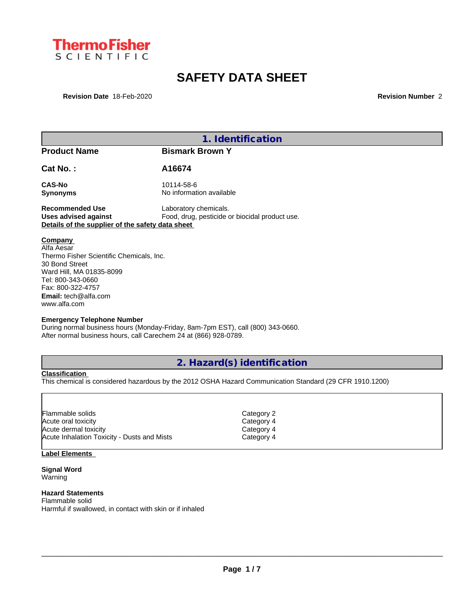

# **SAFETY DATA SHEET**

**Revision Date** 18-Feb-2020 **Revision Number** 2

|                                                                                                                                                                                                          | 1. Identification                                                               |
|----------------------------------------------------------------------------------------------------------------------------------------------------------------------------------------------------------|---------------------------------------------------------------------------------|
| <b>Product Name</b>                                                                                                                                                                                      | <b>Bismark Brown Y</b>                                                          |
| $Cat No.$ :                                                                                                                                                                                              | A16674                                                                          |
| <b>CAS-No</b><br><b>Synonyms</b>                                                                                                                                                                         | 10114-58-6<br>No information available                                          |
| <b>Recommended Use</b><br><b>Uses advised against</b><br>Details of the supplier of the safety data sheet                                                                                                | Laboratory chemicals.<br>Food, drug, pesticide or biocidal product use.         |
| Company<br>Alfa Aesar<br>Thermo Fisher Scientific Chemicals, Inc.<br>30 Bond Street<br>Ward Hill, MA 01835-8099<br>Tel: 800-343-0660<br>Fax: 800-322-4757<br><b>Email:</b> tech@alfa.com<br>www.alfa.com |                                                                                 |
| <b>Emergency Telephone Number</b><br>After normal business hours, call Carechem 24 at (866) 928-0789.                                                                                                    | During normal business hours (Monday-Friday, 8am-7pm EST), call (800) 343-0660. |

## **2. Hazard(s) identification**

**Classification**

This chemical is considered hazardous by the 2012 OSHA Hazard Communication Standard (29 CFR 1910.1200)

| lFlammable solids                           | Category 2 |  |
|---------------------------------------------|------------|--|
| Acute oral toxicity                         | Category 4 |  |
| Acute dermal toxicity                       | Category 4 |  |
| Acute Inhalation Toxicity - Dusts and Mists | Category 4 |  |

## **Label Elements**

**Signal Word** Warning

## **Hazard Statements**

Flammable solid Harmful if swallowed, in contact with skin or if inhaled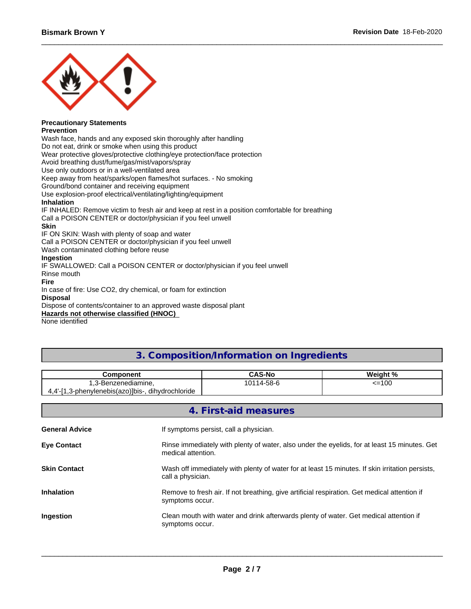

#### **Precautionary Statements Prevention**

Wash face, hands and any exposed skin thoroughly after handling Do not eat, drink or smoke when using this product Wear protective gloves/protective clothing/eye protection/face protection Avoid breathing dust/fume/gas/mist/vapors/spray Use only outdoors or in a well-ventilated area Keep away from heat/sparks/open flames/hot surfaces. - No smoking Ground/bond container and receiving equipment Use explosion-proof electrical/ventilating/lighting/equipment **Inhalation** IF INHALED: Remove victim to fresh air and keep at rest in a position comfortable for breathing Call a POISON CENTER or doctor/physician if you feel unwell **Skin** IF ON SKIN: Wash with plenty of soap and water Call a POISON CENTER or doctor/physician if you feel unwell Wash contaminated clothing before reuse **Ingestion** IF SWALLOWED: Call a POISON CENTER or doctor/physician if you feel unwell Rinse mouth **Fire** In case of fire: Use CO2, dry chemical, or foam for extinction

## **Disposal**

Dispose of contents/container to an approved waste disposal plant

#### **Hazards not otherwise classified (HNOC)**

None identified

## **3. Composition/Information on Ingredients**

| Component                                                    | CAS-No                    | Weight %    |
|--------------------------------------------------------------|---------------------------|-------------|
| $\sim$<br>nzenediamine.<br>.3-B4                             | $14 - 58 - 6$<br>$\Delta$ | <=100<br>-- |
| 3-phenylenebis(azo)]bis-<br>dihvdrochloride<br>4.4 -<br>ن, ا |                           |             |

|                       | 4. First-aid measures                                                                                                |
|-----------------------|----------------------------------------------------------------------------------------------------------------------|
| <b>General Advice</b> | If symptoms persist, call a physician.                                                                               |
| <b>Eye Contact</b>    | Rinse immediately with plenty of water, also under the eyelids, for at least 15 minutes. Get<br>medical attention.   |
| <b>Skin Contact</b>   | Wash off immediately with plenty of water for at least 15 minutes. If skin irritation persists,<br>call a physician. |
| <b>Inhalation</b>     | Remove to fresh air. If not breathing, give artificial respiration. Get medical attention if<br>symptoms occur.      |
| Ingestion             | Clean mouth with water and drink afterwards plenty of water. Get medical attention if<br>symptoms occur.             |
|                       |                                                                                                                      |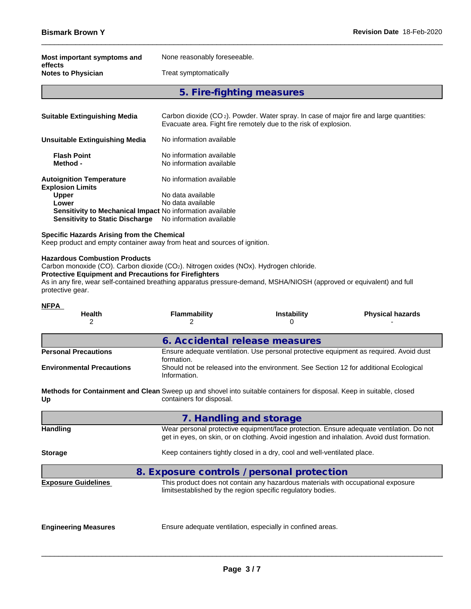| Most important symptoms and<br>effects | None reasonably foreseeable. |
|----------------------------------------|------------------------------|
| <b>Notes to Physician</b>              | Treat symptomatically        |
|                                        | 5. Fire-fighting measures    |

| <b>Suitable Extinguishing Media</b>                              | Carbon dioxide $(CO_2)$ . Powder. Water spray. In case of major fire and large quantities:<br>Evacuate area. Fight fire remotely due to the risk of explosion. |
|------------------------------------------------------------------|----------------------------------------------------------------------------------------------------------------------------------------------------------------|
| Unsuitable Extinguishing Media                                   | No information available                                                                                                                                       |
| <b>Flash Point</b><br>Method -                                   | No information available<br>No information available                                                                                                           |
| <b>Autoignition Temperature</b><br><b>Explosion Limits</b>       | No information available                                                                                                                                       |
| <b>Upper</b>                                                     | No data available                                                                                                                                              |
| Lower                                                            | No data available                                                                                                                                              |
| <b>Sensitivity to Mechanical Impact No information available</b> |                                                                                                                                                                |
| <b>Sensitivity to Static Discharge</b>                           | No information available                                                                                                                                       |

#### **Specific Hazards Arising from the Chemical**

Keep product and empty container away from heat and sources of ignition.

#### **Hazardous Combustion Products**

Carbon monoxide (CO). Carbon dioxide (CO<sub>2</sub>). Nitrogen oxides (NOx). Hydrogen chloride.

## **Protective Equipment and Precautions for Firefighters**

As in any fire, wear self-contained breathing apparatus pressure-demand, MSHA/NIOSH (approved or equivalent) and full protective gear.

| <b>NFPA</b><br><b>Health</b><br>2 | <b>Flammability</b><br>2                                                                                                                                                               | <b>Instability</b><br>U                                                                                                                         | <b>Physical hazards</b>                                                                |  |  |  |  |
|-----------------------------------|----------------------------------------------------------------------------------------------------------------------------------------------------------------------------------------|-------------------------------------------------------------------------------------------------------------------------------------------------|----------------------------------------------------------------------------------------|--|--|--|--|
|                                   | 6. Accidental release measures                                                                                                                                                         |                                                                                                                                                 |                                                                                        |  |  |  |  |
| <b>Personal Precautions</b>       | formation.                                                                                                                                                                             |                                                                                                                                                 | Ensure adequate ventilation. Use personal protective equipment as required. Avoid dust |  |  |  |  |
| <b>Environmental Precautions</b>  | Should not be released into the environment. See Section 12 for additional Ecological<br>Information.                                                                                  |                                                                                                                                                 |                                                                                        |  |  |  |  |
| Up                                | Methods for Containment and Clean Sweep up and shovel into suitable containers for disposal. Keep in suitable, closed<br>containers for disposal.                                      |                                                                                                                                                 |                                                                                        |  |  |  |  |
|                                   | 7. Handling and storage                                                                                                                                                                |                                                                                                                                                 |                                                                                        |  |  |  |  |
| <b>Handling</b>                   | Wear personal protective equipment/face protection. Ensure adequate ventilation. Do not<br>get in eyes, on skin, or on clothing. Avoid ingestion and inhalation. Avoid dust formation. |                                                                                                                                                 |                                                                                        |  |  |  |  |
| <b>Storage</b>                    |                                                                                                                                                                                        | Keep containers tightly closed in a dry, cool and well-ventilated place.                                                                        |                                                                                        |  |  |  |  |
|                                   | 8. Exposure controls / personal protection                                                                                                                                             |                                                                                                                                                 |                                                                                        |  |  |  |  |
| <b>Exposure Guidelines</b>        |                                                                                                                                                                                        | This product does not contain any hazardous materials with occupational exposure<br>limitsestablished by the region specific regulatory bodies. |                                                                                        |  |  |  |  |
| <b>Engineering Measures</b>       |                                                                                                                                                                                        | Ensure adequate ventilation, especially in confined areas.                                                                                      |                                                                                        |  |  |  |  |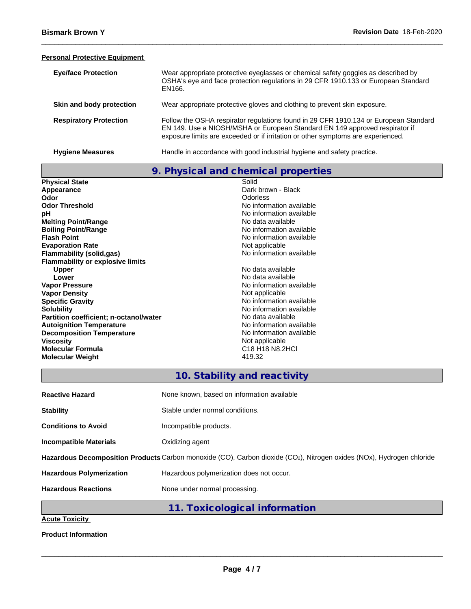### **Personal Protective Equipment**

| <b>Eye/face Protection</b>    | Wear appropriate protective eyeglasses or chemical safety goggles as described by<br>OSHA's eye and face protection regulations in 29 CFR 1910.133 or European Standard<br>EN166.                                                                       |
|-------------------------------|---------------------------------------------------------------------------------------------------------------------------------------------------------------------------------------------------------------------------------------------------------|
| Skin and body protection      | Wear appropriate protective gloves and clothing to prevent skin exposure.                                                                                                                                                                               |
| <b>Respiratory Protection</b> | Follow the OSHA respirator regulations found in 29 CFR 1910.134 or European Standard<br>EN 149. Use a NIOSH/MSHA or European Standard EN 149 approved respirator if<br>exposure limits are exceeded or if irritation or other symptoms are experienced. |
| <b>Hygiene Measures</b>       | Handle in accordance with good industrial hygiene and safety practice.                                                                                                                                                                                  |

|                                         | 9. Physical and chemical properties                   |
|-----------------------------------------|-------------------------------------------------------|
| <b>Physical State</b>                   | Solid                                                 |
| Appearance                              | Dark brown - Black                                    |
| Odor                                    | Odorless                                              |
| <b>Odor Threshold</b>                   | No information available                              |
| рH                                      | No information available                              |
| <b>Melting Point/Range</b>              | No data available                                     |
| <b>Boiling Point/Range</b>              | No information available                              |
| <b>Flash Point</b>                      | No information available                              |
| <b>Evaporation Rate</b>                 | Not applicable                                        |
| <b>Flammability (solid,gas)</b>         | No information available                              |
| <b>Flammability or explosive limits</b> |                                                       |
| <b>Upper</b>                            | No data available                                     |
| Lower                                   | No data available                                     |
| <b>Vapor Pressure</b>                   | No information available                              |
| <b>Vapor Density</b>                    | Not applicable                                        |
| <b>Specific Gravity</b>                 | No information available                              |
| <b>Solubility</b>                       | No information available                              |
| Partition coefficient; n-octanol/water  | No data available                                     |
| <b>Autoignition Temperature</b>         | No information available                              |
| <b>Decomposition Temperature</b>        | No information available                              |
| <b>Viscosity</b>                        | Not applicable                                        |
| <b>Molecular Formula</b>                | C <sub>18</sub> H <sub>18</sub> N <sub>8</sub> , 2HCl |
| <b>Molecular Weight</b>                 | 419.32                                                |

# **10. Stability and reactivity**

| <b>Reactive Hazard</b>          | None known, based on information available                                                                            |
|---------------------------------|-----------------------------------------------------------------------------------------------------------------------|
| <b>Stability</b>                | Stable under normal conditions.                                                                                       |
| <b>Conditions to Avoid</b>      | Incompatible products.                                                                                                |
| <b>Incompatible Materials</b>   | Oxidizing agent                                                                                                       |
|                                 | Hazardous Decomposition Products Carbon monoxide (CO), Carbon dioxide (CO2), Nitrogen oxides (NOx), Hydrogen chloride |
| <b>Hazardous Polymerization</b> | Hazardous polymerization does not occur.                                                                              |
| <b>Hazardous Reactions</b>      | None under normal processing.                                                                                         |
|                                 | 11. Toxicological information                                                                                         |
| Anute Texisity                  |                                                                                                                       |

**Acute Toxicity**

**Product Information**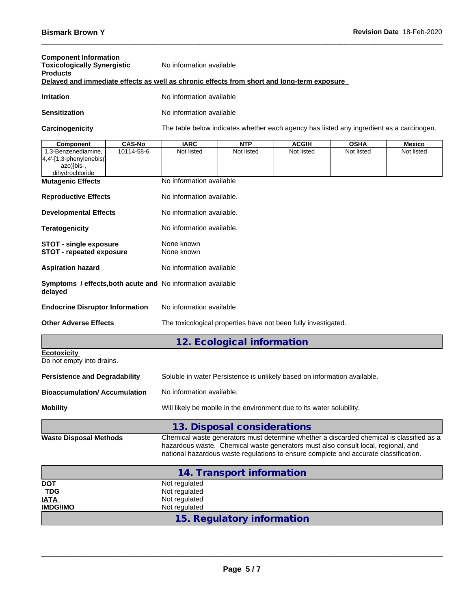| <b>Component Information</b><br><b>Toxicologically Synergistic</b><br><b>Products</b>      |                                             | No information available       |                                                                                                                                                                                                                                                                       |              |             |            |
|--------------------------------------------------------------------------------------------|---------------------------------------------|--------------------------------|-----------------------------------------------------------------------------------------------------------------------------------------------------------------------------------------------------------------------------------------------------------------------|--------------|-------------|------------|
| Delayed and immediate effects as well as chronic effects from short and long-term exposure |                                             |                                |                                                                                                                                                                                                                                                                       |              |             |            |
| <b>Irritation</b>                                                                          |                                             | No information available       |                                                                                                                                                                                                                                                                       |              |             |            |
| <b>Sensitization</b>                                                                       |                                             | No information available       |                                                                                                                                                                                                                                                                       |              |             |            |
| Carcinogenicity                                                                            |                                             |                                | The table below indicates whether each agency has listed any ingredient as a carcinogen.                                                                                                                                                                              |              |             |            |
| <b>Component</b>                                                                           | <b>CAS-No</b>                               | <b>IARC</b>                    | <b>NTP</b>                                                                                                                                                                                                                                                            | <b>ACGIH</b> | <b>OSHA</b> | Mexico     |
| 1,3-Benzenediamine,<br>4,4'-[1,3-phenylenebis(<br>azo)]bis-,<br>dihydrochloride            | 10114-58-6                                  | Not listed                     | Not listed                                                                                                                                                                                                                                                            | Not listed   | Not listed  | Not listed |
| <b>Mutagenic Effects</b>                                                                   |                                             | No information available       |                                                                                                                                                                                                                                                                       |              |             |            |
| <b>Reproductive Effects</b>                                                                |                                             | No information available.      |                                                                                                                                                                                                                                                                       |              |             |            |
| <b>Developmental Effects</b>                                                               |                                             | No information available.      |                                                                                                                                                                                                                                                                       |              |             |            |
| <b>Teratogenicity</b>                                                                      |                                             | No information available.      |                                                                                                                                                                                                                                                                       |              |             |            |
|                                                                                            | None known<br><b>STOT - single exposure</b> |                                |                                                                                                                                                                                                                                                                       |              |             |            |
| <b>STOT - repeated exposure</b>                                                            |                                             | None known                     |                                                                                                                                                                                                                                                                       |              |             |            |
| <b>Aspiration hazard</b>                                                                   |                                             | No information available       |                                                                                                                                                                                                                                                                       |              |             |            |
| Symptoms / effects, both acute and No information available<br>delayed                     |                                             |                                |                                                                                                                                                                                                                                                                       |              |             |            |
| <b>Endocrine Disruptor Information</b>                                                     |                                             | No information available       |                                                                                                                                                                                                                                                                       |              |             |            |
| <b>Other Adverse Effects</b>                                                               |                                             |                                | The toxicological properties have not been fully investigated.                                                                                                                                                                                                        |              |             |            |
|                                                                                            |                                             |                                | 12. Ecological information                                                                                                                                                                                                                                            |              |             |            |
| <b>Ecotoxicity</b><br>Do not empty into drains.                                            |                                             |                                |                                                                                                                                                                                                                                                                       |              |             |            |
| <b>Persistence and Degradability</b>                                                       |                                             |                                | Soluble in water Persistence is unlikely based on information available.                                                                                                                                                                                              |              |             |            |
| <b>Bioaccumulation/Accumulation</b>                                                        |                                             | No information available.      |                                                                                                                                                                                                                                                                       |              |             |            |
| <b>Mobility</b>                                                                            |                                             |                                | Will likely be mobile in the environment due to its water solubility.                                                                                                                                                                                                 |              |             |            |
|                                                                                            |                                             |                                | 13. Disposal considerations                                                                                                                                                                                                                                           |              |             |            |
| <b>Waste Disposal Methods</b>                                                              |                                             |                                | Chemical waste generators must determine whether a discarded chemical is classified as a<br>hazardous waste. Chemical waste generators must also consult local, regional, and<br>national hazardous waste regulations to ensure complete and accurate classification. |              |             |            |
|                                                                                            |                                             |                                | 14. Transport information                                                                                                                                                                                                                                             |              |             |            |
| <u>DOT</u>                                                                                 |                                             | Not regulated                  |                                                                                                                                                                                                                                                                       |              |             |            |
| <b>TDG</b><br><u>IATA</u>                                                                  |                                             | Not regulated<br>Not regulated |                                                                                                                                                                                                                                                                       |              |             |            |
| <b>IMDG/IMO</b>                                                                            |                                             | Not regulated                  |                                                                                                                                                                                                                                                                       |              |             |            |
|                                                                                            |                                             |                                | 15. Regulatory information                                                                                                                                                                                                                                            |              |             |            |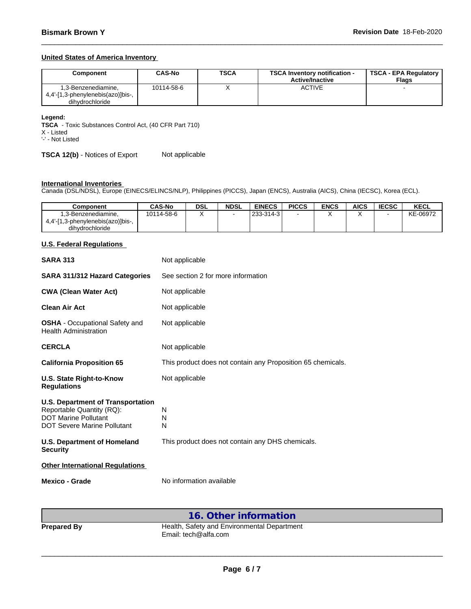### **United States of America Inventory**

| Component                         | CAS-No     | <b>TSCA</b> | <b>TSCA Inventory notification -</b><br><b>Active/Inactive</b> | TSCA - EPA Regulatory<br><b>Flags</b> |
|-----------------------------------|------------|-------------|----------------------------------------------------------------|---------------------------------------|
| l,3-Benzenediamine,               | 10114-58-6 | $\lambda$   | <b>ACTIVE</b>                                                  |                                       |
| 4,4'-[1,3-phenylenebis(azo)]bis-, |            |             |                                                                |                                       |
| dihydrochloride                   |            |             |                                                                |                                       |

#### **Legend:**

**TSCA** - Toxic Substances Control Act, (40 CFR Part 710)

X - Listed

'-' - Not Listed

**TSCA 12(b)** - Notices of Export Not applicable

#### **International Inventories**

Canada (DSL/NDSL), Europe (EINECS/ELINCS/NLP), Philippines (PICCS), Japan (ENCS), Australia (AICS), China (IECSC), Korea (ECL).

| Component                                               | <b>CAS-No</b> | <b>DSL</b> | <b>NDSL</b> | <b>EINECS</b> | <b>PICCS</b> | <b>ENCS</b> | <b>AICS</b> | <b>IECSC</b> | KECL     |
|---------------------------------------------------------|---------------|------------|-------------|---------------|--------------|-------------|-------------|--------------|----------|
| .3-Benzenediamine.<br>4,4'-[1,3-phenylenebis(azo)]bis-, | 10114-58-6    |            |             | 233-314-3     |              |             |             |              | KE-06972 |
| dihydrochloride                                         |               |            |             |               |              |             |             |              |          |

### **U.S. Federal Regulations**

| <b>SARA 313</b>                                                                                                                     | Not applicable                                              |  |  |  |  |  |
|-------------------------------------------------------------------------------------------------------------------------------------|-------------------------------------------------------------|--|--|--|--|--|
| <b>SARA 311/312 Hazard Categories</b>                                                                                               | See section 2 for more information                          |  |  |  |  |  |
| <b>CWA (Clean Water Act)</b>                                                                                                        | Not applicable                                              |  |  |  |  |  |
| <b>Clean Air Act</b>                                                                                                                | Not applicable                                              |  |  |  |  |  |
| <b>OSHA</b> - Occupational Safety and<br><b>Health Administration</b>                                                               | Not applicable                                              |  |  |  |  |  |
| <b>CERCLA</b>                                                                                                                       | Not applicable                                              |  |  |  |  |  |
| <b>California Proposition 65</b>                                                                                                    | This product does not contain any Proposition 65 chemicals. |  |  |  |  |  |
| U.S. State Right-to-Know<br><b>Regulations</b>                                                                                      | Not applicable                                              |  |  |  |  |  |
| <b>U.S. Department of Transportation</b><br>Reportable Quantity (RQ):<br><b>DOT Marine Pollutant</b><br>DOT Severe Marine Pollutant | N<br>N<br>N                                                 |  |  |  |  |  |
| <b>U.S. Department of Homeland</b><br><b>Security</b>                                                                               | This product does not contain any DHS chemicals.            |  |  |  |  |  |
| <b>Other International Regulations</b>                                                                                              |                                                             |  |  |  |  |  |
| Mexico - Grade                                                                                                                      | No information available                                    |  |  |  |  |  |

## **16. Other information**

**Prepared By** Health, Safety and Environmental Department Email: tech@alfa.com